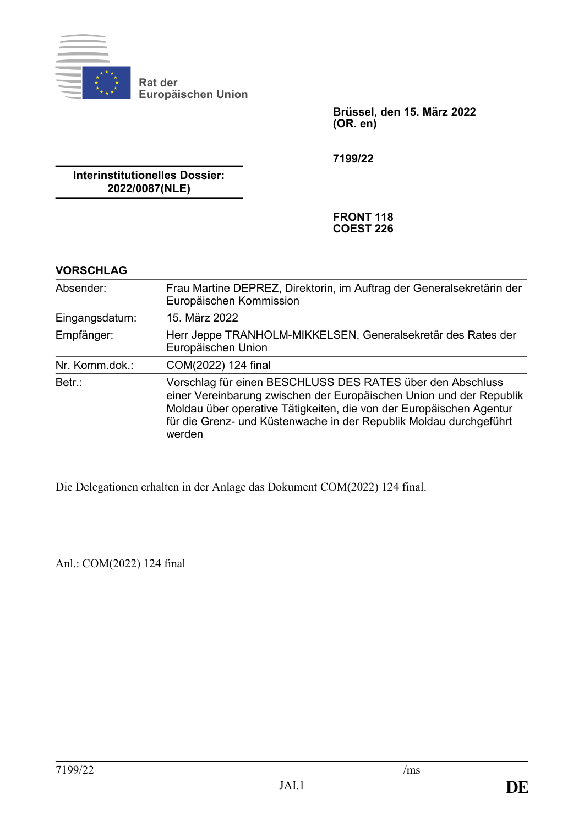

**Rat der Europäischen Union**

> **Brüssel, den 15. März 2022 (OR. en)**

**7199/22**

**Interinstitutionelles Dossier: 2022/0087(NLE)**

> **FRONT 118 COEST 226**

# **VORSCHLAG**

| Absender:      | Frau Martine DEPREZ, Direktorin, im Auftrag der Generalsekretärin der<br>Europäischen Kommission                                                                                                                                                                                         |
|----------------|------------------------------------------------------------------------------------------------------------------------------------------------------------------------------------------------------------------------------------------------------------------------------------------|
| Eingangsdatum: | 15. März 2022                                                                                                                                                                                                                                                                            |
| Empfänger:     | Herr Jeppe TRANHOLM-MIKKELSEN, Generalsekretär des Rates der<br>Europäischen Union                                                                                                                                                                                                       |
| Nr. Komm.dok.: | COM(2022) 124 final                                                                                                                                                                                                                                                                      |
| Betr.:         | Vorschlag für einen BESCHLUSS DES RATES über den Abschluss<br>einer Vereinbarung zwischen der Europäischen Union und der Republik<br>Moldau über operative Tätigkeiten, die von der Europäischen Agentur<br>für die Grenz- und Küstenwache in der Republik Moldau durchgeführt<br>werden |

Die Delegationen erhalten in der Anlage das Dokument COM(2022) 124 final.

Anl.: COM(2022) 124 final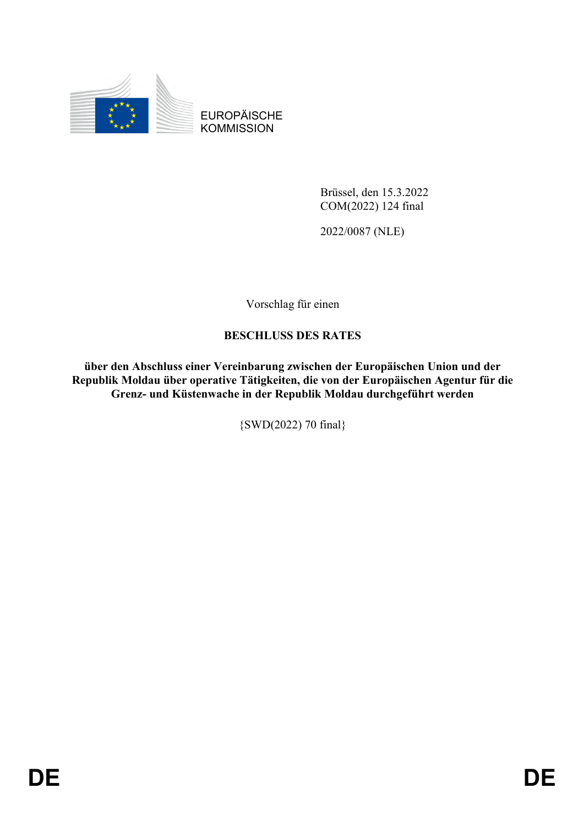

EUROPÄISCHE **KOMMISSION** 

> Brüssel, den 15.3.2022 COM(2022) 124 final

2022/0087 (NLE)

Vorschlag für einen

# **BESCHLUSS DES RATES**

**über den Abschluss einer Vereinbarung zwischen der Europäischen Union und der Republik Moldau über operative Tätigkeiten, die von der Europäischen Agentur für die Grenz- und Küstenwache in der Republik Moldau durchgeführt werden**

{SWD(2022) 70 final}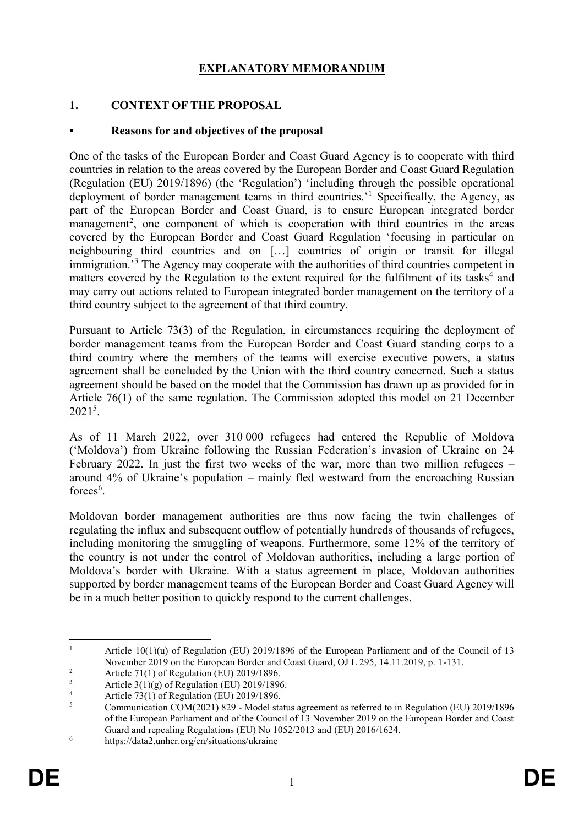# **EXPLANATORY MEMORANDUM**

### **1. CONTEXT OF THE PROPOSAL**

#### **• Reasons for and objectives of the proposal**

One of the tasks of the European Border and Coast Guard Agency is to cooperate with third countries in relation to the areas covered by the European Border and Coast Guard Regulation (Regulation (EU) 2019/1896) (the 'Regulation') 'including through the possible operational deployment of border management teams in third countries.'<sup>1</sup> Specifically, the Agency, as part of the European Border and Coast Guard, is to ensure European integrated border management<sup>2</sup>, one component of which is cooperation with third countries in the areas covered by the European Border and Coast Guard Regulation 'focusing in particular on neighbouring third countries and on […] countries of origin or transit for illegal immigration.'<sup>3</sup> The Agency may cooperate with the authorities of third countries competent in matters covered by the Regulation to the extent required for the fulfilment of its tasks<sup>4</sup> and may carry out actions related to European integrated border management on the territory of a third country subject to the agreement of that third country.

Pursuant to Article 73(3) of the Regulation, in circumstances requiring the deployment of border management teams from the European Border and Coast Guard standing corps to a third country where the members of the teams will exercise executive powers, a status agreement shall be concluded by the Union with the third country concerned. Such a status agreement should be based on the model that the Commission has drawn up as provided for in Article 76(1) of the same regulation. The Commission adopted this model on 21 December  $2021^5$ .

As of 11 March 2022, over 310 000 refugees had entered the Republic of Moldova ('Moldova') from Ukraine following the Russian Federation's invasion of Ukraine on 24 February 2022. In just the first two weeks of the war, more than two million refugees – around 4% of Ukraine's population – mainly fled westward from the encroaching Russian forces<sup>6</sup>.

Moldovan border management authorities are thus now facing the twin challenges of regulating the influx and subsequent outflow of potentially hundreds of thousands of refugees, including monitoring the smuggling of weapons. Furthermore, some 12% of the territory of the country is not under the control of Moldovan authorities, including a large portion of Moldova's border with Ukraine. With a status agreement in place, Moldovan authorities supported by border management teams of the European Border and Coast Guard Agency will be in a much better position to quickly respond to the current challenges.

 $\overline{1}$ Article  $10(1)(u)$  of Regulation (EU) 2019/1896 of the European Parliament and of the Council of 13 November 2019 on the European Border and Coast Guard, OJ L 295, 14.11.2019, p. 1-131.

<sup>&</sup>lt;sup>2</sup> Article 71(1) of Regulation (EU) 2019/1896.<br> $\frac{3}{4}$  Article 3(1)(g) of Regulation (EU) 2019/1896

<sup>&</sup>lt;sup>3</sup> Article 3(1)(g) of Regulation (EU) 2019/1896.

<sup>4</sup> Article 73(1) of Regulation (EU) 2019/1896.

<sup>5</sup> Communication COM(2021) 829 - Model status agreement as referred to in Regulation (EU) 2019/1896 of the European Parliament and of the Council of 13 November 2019 on the European Border and Coast Guard and repealing Regulations (EU) No 1052/2013 and (EU) 2016/1624.

 $\frac{6}{\text{https://data2.unher.org/en/situations/ukraine}}$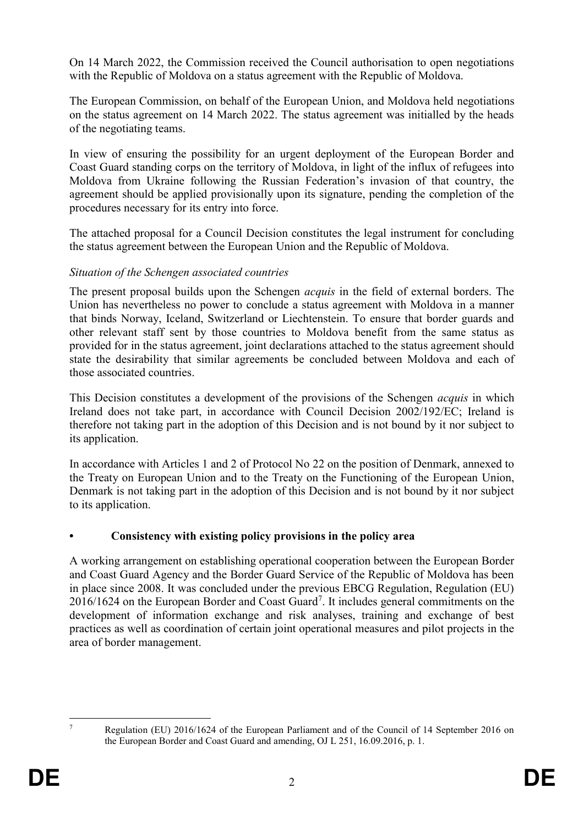On 14 March 2022, the Commission received the Council authorisation to open negotiations with the Republic of Moldova on a status agreement with the Republic of Moldova.

The European Commission, on behalf of the European Union, and Moldova held negotiations on the status agreement on 14 March 2022. The status agreement was initialled by the heads of the negotiating teams.

In view of ensuring the possibility for an urgent deployment of the European Border and Coast Guard standing corps on the territory of Moldova, in light of the influx of refugees into Moldova from Ukraine following the Russian Federation's invasion of that country, the agreement should be applied provisionally upon its signature, pending the completion of the procedures necessary for its entry into force.

The attached proposal for a Council Decision constitutes the legal instrument for concluding the status agreement between the European Union and the Republic of Moldova.

## *Situation of the Schengen associated countries*

The present proposal builds upon the Schengen *acquis* in the field of external borders. The Union has nevertheless no power to conclude a status agreement with Moldova in a manner that binds Norway, Iceland, Switzerland or Liechtenstein. To ensure that border guards and other relevant staff sent by those countries to Moldova benefit from the same status as provided for in the status agreement, joint declarations attached to the status agreement should state the desirability that similar agreements be concluded between Moldova and each of those associated countries.

This Decision constitutes a development of the provisions of the Schengen *acquis* in which Ireland does not take part, in accordance with Council Decision 2002/192/EC; Ireland is therefore not taking part in the adoption of this Decision and is not bound by it nor subject to its application.

In accordance with Articles 1 and 2 of Protocol No 22 on the position of Denmark, annexed to the Treaty on European Union and to the Treaty on the Functioning of the European Union, Denmark is not taking part in the adoption of this Decision and is not bound by it nor subject to its application.

# **• Consistency with existing policy provisions in the policy area**

A working arrangement on establishing operational cooperation between the European Border and Coast Guard Agency and the Border Guard Service of the Republic of Moldova has been in place since 2008. It was concluded under the previous EBCG Regulation, Regulation (EU)  $2016/1624$  on the European Border and Coast Guard<sup>7</sup>. It includes general commitments on the development of information exchange and risk analyses, training and exchange of best practices as well as coordination of certain joint operational measures and pilot projects in the area of border management.

1

<sup>7</sup> Regulation (EU) 2016/1624 of the European Parliament and of the Council of 14 September 2016 on the European Border and Coast Guard and amending, OJ L 251, 16.09.2016, p. 1.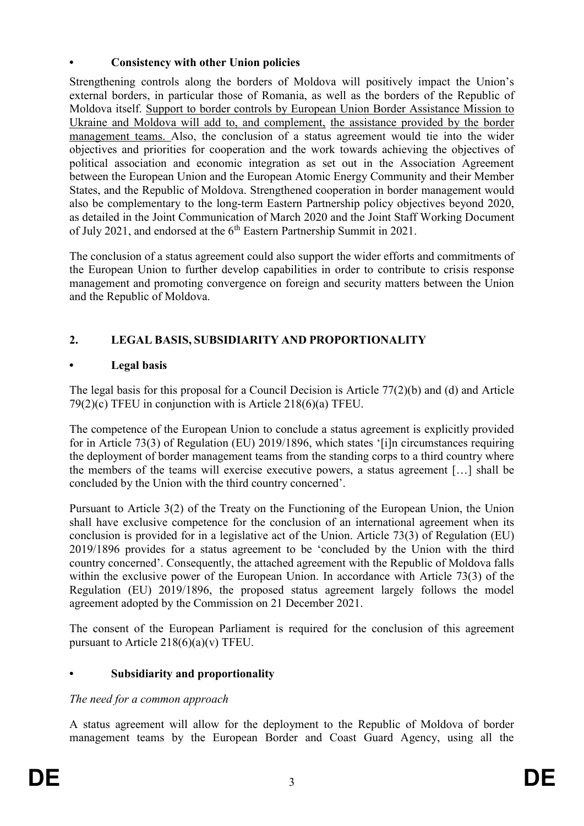# **• Consistency with other Union policies**

Strengthening controls along the borders of Moldova will positively impact the Union's external borders, in particular those of Romania, as well as the borders of the Republic of Moldova itself. Support to border controls by European Union Border Assistance Mission to Ukraine and Moldova will add to, and complement, the assistance provided by the border management teams. Also, the conclusion of a status agreement would tie into the wider objectives and priorities for cooperation and the work towards achieving the objectives of political association and economic integration as set out in the Association Agreement between the European Union and the European Atomic Energy Community and their Member States, and the Republic of Moldova. Strengthened cooperation in border management would also be complementary to the long-term Eastern Partnership policy objectives beyond 2020, as detailed in the Joint Communication of March 2020 and the Joint Staff Working Document of July 2021, and endorsed at the  $6<sup>th</sup>$  Eastern Partnership Summit in 2021.

The conclusion of a status agreement could also support the wider efforts and commitments of the European Union to further develop capabilities in order to contribute to crisis response management and promoting convergence on foreign and security matters between the Union and the Republic of Moldova.

# **2. LEGAL BASIS, SUBSIDIARITY AND PROPORTIONALITY**

# **• Legal basis**

The legal basis for this proposal for a Council Decision is Article 77(2)(b) and (d) and Article 79(2)(c) TFEU in conjunction with is Article 218(6)(a) TFEU.

The competence of the European Union to conclude a status agreement is explicitly provided for in Article 73(3) of Regulation (EU) 2019/1896, which states '[i]n circumstances requiring the deployment of border management teams from the standing corps to a third country where the members of the teams will exercise executive powers, a status agreement […] shall be concluded by the Union with the third country concerned'.

Pursuant to Article 3(2) of the Treaty on the Functioning of the European Union, the Union shall have exclusive competence for the conclusion of an international agreement when its conclusion is provided for in a legislative act of the Union. Article 73(3) of Regulation (EU) 2019/1896 provides for a status agreement to be 'concluded by the Union with the third country concerned'. Consequently, the attached agreement with the Republic of Moldova falls within the exclusive power of the European Union. In accordance with Article 73(3) of the Regulation (EU) 2019/1896, the proposed status agreement largely follows the model agreement adopted by the Commission on 21 December 2021.

The consent of the European Parliament is required for the conclusion of this agreement pursuant to Article 218(6)(a)(v) TFEU.

# **• Subsidiarity and proportionality**

# *The need for a common approach*

A status agreement will allow for the deployment to the Republic of Moldova of border management teams by the European Border and Coast Guard Agency, using all the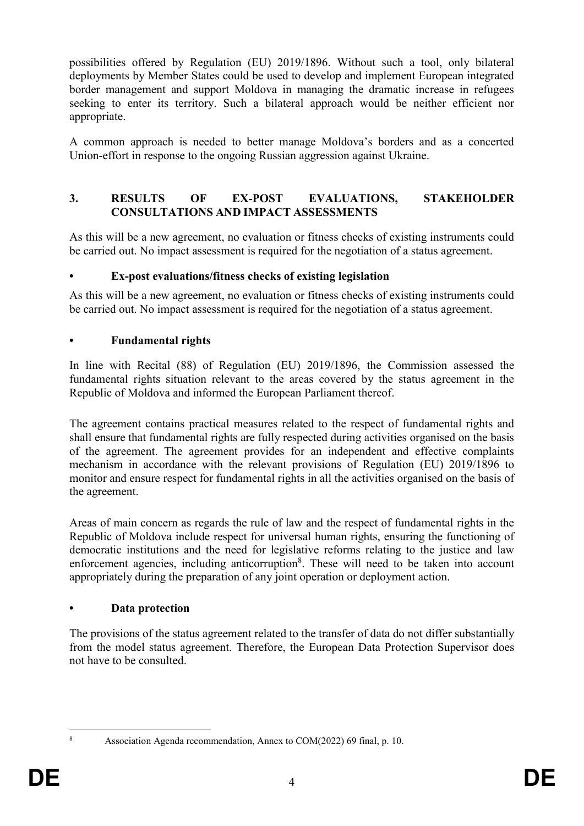possibilities offered by Regulation (EU) 2019/1896. Without such a tool, only bilateral deployments by Member States could be used to develop and implement European integrated border management and support Moldova in managing the dramatic increase in refugees seeking to enter its territory. Such a bilateral approach would be neither efficient nor appropriate.

A common approach is needed to better manage Moldova's borders and as a concerted Union-effort in response to the ongoing Russian aggression against Ukraine.

# **3. RESULTS OF EX-POST EVALUATIONS, STAKEHOLDER CONSULTATIONS AND IMPACT ASSESSMENTS**

As this will be a new agreement, no evaluation or fitness checks of existing instruments could be carried out. No impact assessment is required for the negotiation of a status agreement.

#### **• Ex-post evaluations/fitness checks of existing legislation**

As this will be a new agreement, no evaluation or fitness checks of existing instruments could be carried out. No impact assessment is required for the negotiation of a status agreement.

#### **• Fundamental rights**

In line with Recital (88) of Regulation (EU) 2019/1896, the Commission assessed the fundamental rights situation relevant to the areas covered by the status agreement in the Republic of Moldova and informed the European Parliament thereof.

The agreement contains practical measures related to the respect of fundamental rights and shall ensure that fundamental rights are fully respected during activities organised on the basis of the agreement. The agreement provides for an independent and effective complaints mechanism in accordance with the relevant provisions of Regulation (EU) 2019/1896 to monitor and ensure respect for fundamental rights in all the activities organised on the basis of the agreement.

Areas of main concern as regards the rule of law and the respect of fundamental rights in the Republic of Moldova include respect for universal human rights, ensuring the functioning of democratic institutions and the need for legislative reforms relating to the justice and law enforcement agencies, including anticorruption<sup>8</sup>. These will need to be taken into account appropriately during the preparation of any joint operation or deployment action.

#### **• Data protection**

The provisions of the status agreement related to the transfer of data do not differ substantially from the model status agreement. Therefore, the European Data Protection Supervisor does not have to be consulted.

 $\,$  8  $\,$ 

<sup>8</sup> Association Agenda recommendation, Annex to COM(2022) 69 final, p. 10.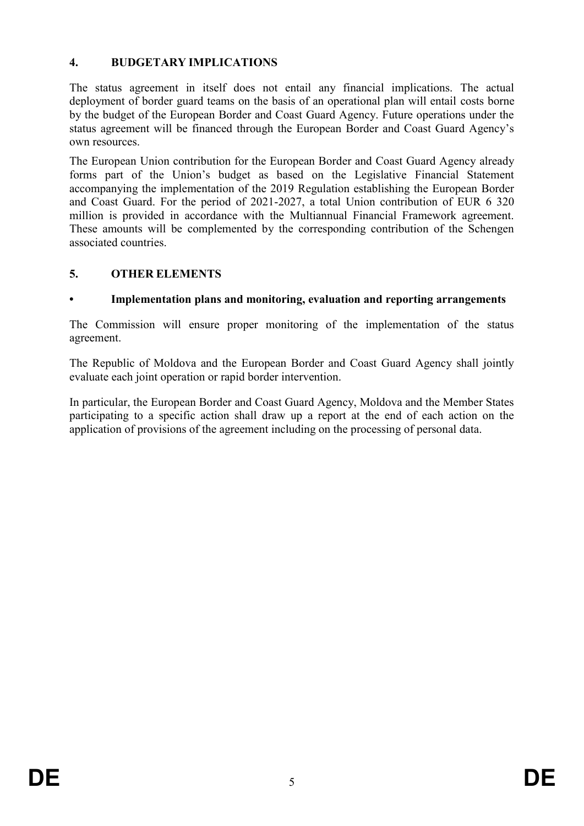# **4. BUDGETARY IMPLICATIONS**

The status agreement in itself does not entail any financial implications. The actual deployment of border guard teams on the basis of an operational plan will entail costs borne by the budget of the European Border and Coast Guard Agency. Future operations under the status agreement will be financed through the European Border and Coast Guard Agency's own resources.

The European Union contribution for the European Border and Coast Guard Agency already forms part of the Union's budget as based on the Legislative Financial Statement accompanying the implementation of the 2019 Regulation establishing the European Border and Coast Guard. For the period of 2021-2027, a total Union contribution of EUR 6 320 million is provided in accordance with the Multiannual Financial Framework agreement. These amounts will be complemented by the corresponding contribution of the Schengen associated countries.

## **5. OTHER ELEMENTS**

# **• Implementation plans and monitoring, evaluation and reporting arrangements**

The Commission will ensure proper monitoring of the implementation of the status agreement.

The Republic of Moldova and the European Border and Coast Guard Agency shall jointly evaluate each joint operation or rapid border intervention.

In particular, the European Border and Coast Guard Agency, Moldova and the Member States participating to a specific action shall draw up a report at the end of each action on the application of provisions of the agreement including on the processing of personal data.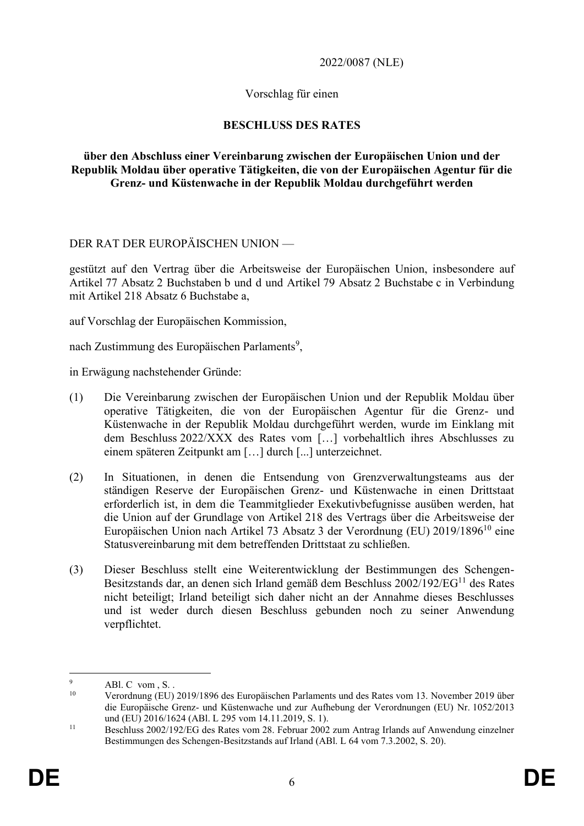2022/0087 (NLE)

## Vorschlag für einen

# **BESCHLUSS DES RATES**

#### **über den Abschluss einer Vereinbarung zwischen der Europäischen Union und der Republik Moldau über operative Tätigkeiten, die von der Europäischen Agentur für die Grenz- und Küstenwache in der Republik Moldau durchgeführt werden**

DER RAT DER EUROPÄISCHEN UNION —

gestützt auf den Vertrag über die Arbeitsweise der Europäischen Union, insbesondere auf Artikel 77 Absatz 2 Buchstaben b und d und Artikel 79 Absatz 2 Buchstabe c in Verbindung mit Artikel 218 Absatz 6 Buchstabe a,

auf Vorschlag der Europäischen Kommission,

nach Zustimmung des Europäischen Parlaments<sup>9</sup>,

in Erwägung nachstehender Gründe:

- (1) Die Vereinbarung zwischen der Europäischen Union und der Republik Moldau über operative Tätigkeiten, die von der Europäischen Agentur für die Grenz- und Küstenwache in der Republik Moldau durchgeführt werden, wurde im Einklang mit dem Beschluss 2022/XXX des Rates vom […] vorbehaltlich ihres Abschlusses zu einem späteren Zeitpunkt am […] durch [...] unterzeichnet.
- (2) In Situationen, in denen die Entsendung von Grenzverwaltungsteams aus der ständigen Reserve der Europäischen Grenz- und Küstenwache in einen Drittstaat erforderlich ist, in dem die Teammitglieder Exekutivbefugnisse ausüben werden, hat die Union auf der Grundlage von Artikel 218 des Vertrags über die Arbeitsweise der Europäischen Union nach Artikel 73 Absatz 3 der Verordnung (EU) 2019/1896<sup>10</sup> eine Statusvereinbarung mit dem betreffenden Drittstaat zu schließen.
- (3) Dieser Beschluss stellt eine Weiterentwicklung der Bestimmungen des Schengen-Besitzstands dar, an denen sich Irland gemäß dem Beschluss 2002/192/EG<sup>11</sup> des Rates nicht beteiligt; Irland beteiligt sich daher nicht an der Annahme dieses Beschlusses und ist weder durch diesen Beschluss gebunden noch zu seiner Anwendung verpflichtet.

1

 $^{9}$  ABl. C vom , S. .<br><sup>10</sup> Verordnung (EU)

<sup>10</sup> Verordnung (EU) 2019/1896 des Europäischen Parlaments und des Rates vom 13. November 2019 über die Europäische Grenz- und Küstenwache und zur Aufhebung der Verordnungen (EU) Nr. 1052/2013 und (EU) 2016/1624 (ABl. L 295 vom 14.11.2019, S. 1).

<sup>11</sup> Beschluss 2002/192/EG des Rates vom 28. Februar 2002 zum Antrag Irlands auf Anwendung einzelner Bestimmungen des Schengen-Besitzstands auf Irland (ABl. L 64 vom 7.3.2002, S. 20).